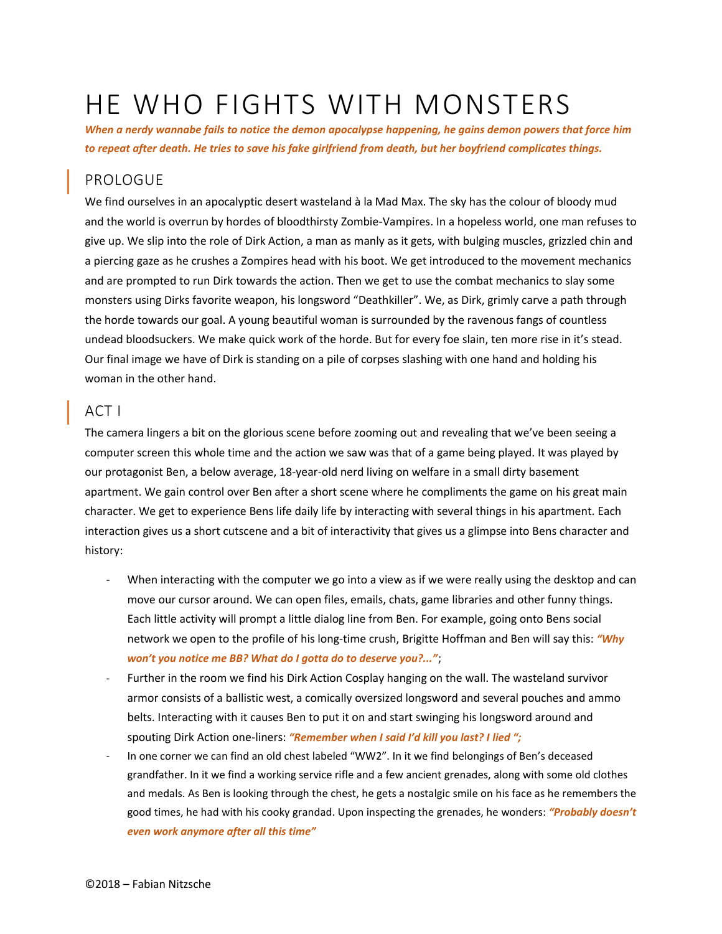# HE WHO FIGHTS WITH MONSTERS

*When a nerdy wannabe fails to notice the demon apocalypse happening, he gains demon powers that force him to repeat after death. He tries to save his fake girlfriend from death, but her boyfriend complicates things.* 

### PROLOGUE

We find ourselves in an apocalyptic desert wasteland à la Mad Max. The sky has the colour of bloody mud and the world is overrun by hordes of bloodthirsty Zombie-Vampires. In a hopeless world, one man refuses to give up. We slip into the role of Dirk Action, a man as manly as it gets, with bulging muscles, grizzled chin and a piercing gaze as he crushes a Zompires head with his boot. We get introduced to the movement mechanics and are prompted to run Dirk towards the action. Then we get to use the combat mechanics to slay some monsters using Dirks favorite weapon, his longsword "Deathkiller". We, as Dirk, grimly carve a path through the horde towards our goal. A young beautiful woman is surrounded by the ravenous fangs of countless undead bloodsuckers. We make quick work of the horde. But for every foe slain, ten more rise in it's stead. Our final image we have of Dirk is standing on a pile of corpses slashing with one hand and holding his woman in the other hand.

## ACT I

The camera lingers a bit on the glorious scene before zooming out and revealing that we've been seeing a computer screen this whole time and the action we saw was that of a game being played. It was played by our protagonist Ben, a below average, 18-year-old nerd living on welfare in a small dirty basement apartment. We gain control over Ben after a short scene where he compliments the game on his great main character. We get to experience Bens life daily life by interacting with several things in his apartment. Each interaction gives us a short cutscene and a bit of interactivity that gives us a glimpse into Bens character and history:

- When interacting with the computer we go into a view as if we were really using the desktop and can move our cursor around. We can open files, emails, chats, game libraries and other funny things. Each little activity will prompt a little dialog line from Ben. For example, going onto Bens social network we open to the profile of his long-time crush, Brigitte Hoffman and Ben will say this: *"Why won't you notice me BB? What do I gotta do to deserve you?..."*;
- Further in the room we find his Dirk Action Cosplay hanging on the wall. The wasteland survivor armor consists of a ballistic west, a comically oversized longsword and several pouches and ammo belts. Interacting with it causes Ben to put it on and start swinging his longsword around and spouting Dirk Action one-liners: *"Remember when I said I'd kill you last? I lied ";*
- In one corner we can find an old chest labeled "WW2". In it we find belongings of Ben's deceased grandfather. In it we find a working service rifle and a few ancient grenades, along with some old clothes and medals. As Ben is looking through the chest, he gets a nostalgic smile on his face as he remembers the good times, he had with his cooky grandad. Upon inspecting the grenades, he wonders: *"Probably doesn't even work anymore after all this time"*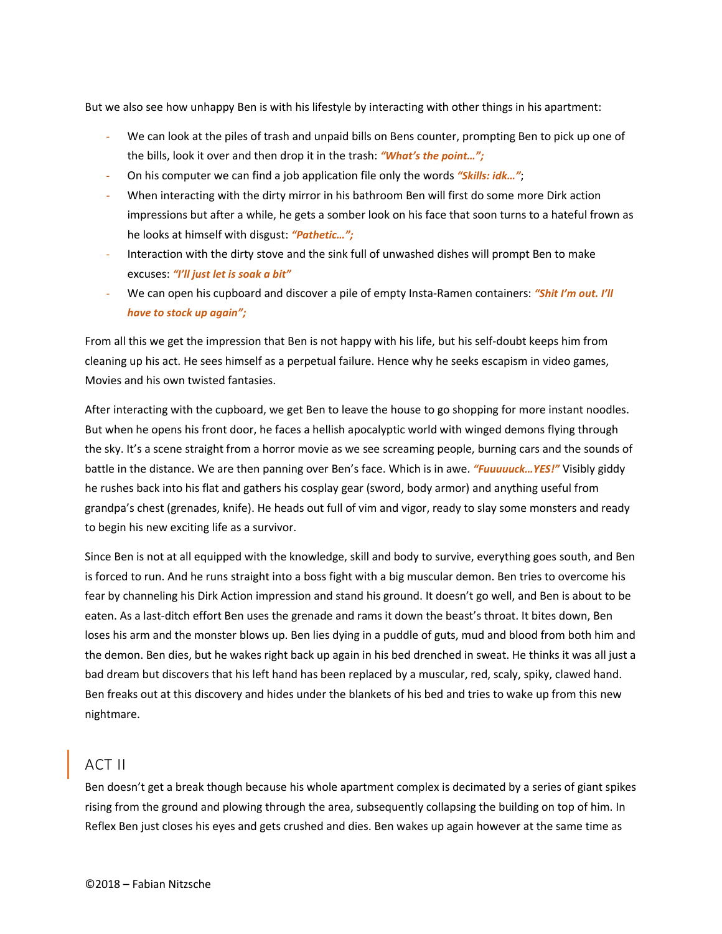But we also see how unhappy Ben is with his lifestyle by interacting with other things in his apartment:

- We can look at the piles of trash and unpaid bills on Bens counter, prompting Ben to pick up one of the bills, look it over and then drop it in the trash: *"What's the point…";*
- On his computer we can find a job application file only the words *"Skills: idk…"*;
- When interacting with the dirty mirror in his bathroom Ben will first do some more Dirk action impressions but after a while, he gets a somber look on his face that soon turns to a hateful frown as he looks at himself with disgust: *"Pathetic…";*
- Interaction with the dirty stove and the sink full of unwashed dishes will prompt Ben to make excuses: *"I'll just let is soak a bit"*
- We can open his cupboard and discover a pile of empty Insta-Ramen containers: *"Shit I'm out. I'll have to stock up again";*

From all this we get the impression that Ben is not happy with his life, but his self-doubt keeps him from cleaning up his act. He sees himself as a perpetual failure. Hence why he seeks escapism in video games, Movies and his own twisted fantasies.

After interacting with the cupboard, we get Ben to leave the house to go shopping for more instant noodles. But when he opens his front door, he faces a hellish apocalyptic world with winged demons flying through the sky. It's a scene straight from a horror movie as we see screaming people, burning cars and the sounds of battle in the distance. We are then panning over Ben's face. Which is in awe. *"Fuuuuuck…YES!"* Visibly giddy he rushes back into his flat and gathers his cosplay gear (sword, body armor) and anything useful from grandpa's chest (grenades, knife). He heads out full of vim and vigor, ready to slay some monsters and ready to begin his new exciting life as a survivor.

Since Ben is not at all equipped with the knowledge, skill and body to survive, everything goes south, and Ben is forced to run. And he runs straight into a boss fight with a big muscular demon. Ben tries to overcome his fear by channeling his Dirk Action impression and stand his ground. It doesn't go well, and Ben is about to be eaten. As a last-ditch effort Ben uses the grenade and rams it down the beast's throat. It bites down, Ben loses his arm and the monster blows up. Ben lies dying in a puddle of guts, mud and blood from both him and the demon. Ben dies, but he wakes right back up again in his bed drenched in sweat. He thinks it was all just a bad dream but discovers that his left hand has been replaced by a muscular, red, scaly, spiky, clawed hand. Ben freaks out at this discovery and hides under the blankets of his bed and tries to wake up from this new nightmare.

#### ACT II

Ben doesn't get a break though because his whole apartment complex is decimated by a series of giant spikes rising from the ground and plowing through the area, subsequently collapsing the building on top of him. In Reflex Ben just closes his eyes and gets crushed and dies. Ben wakes up again however at the same time as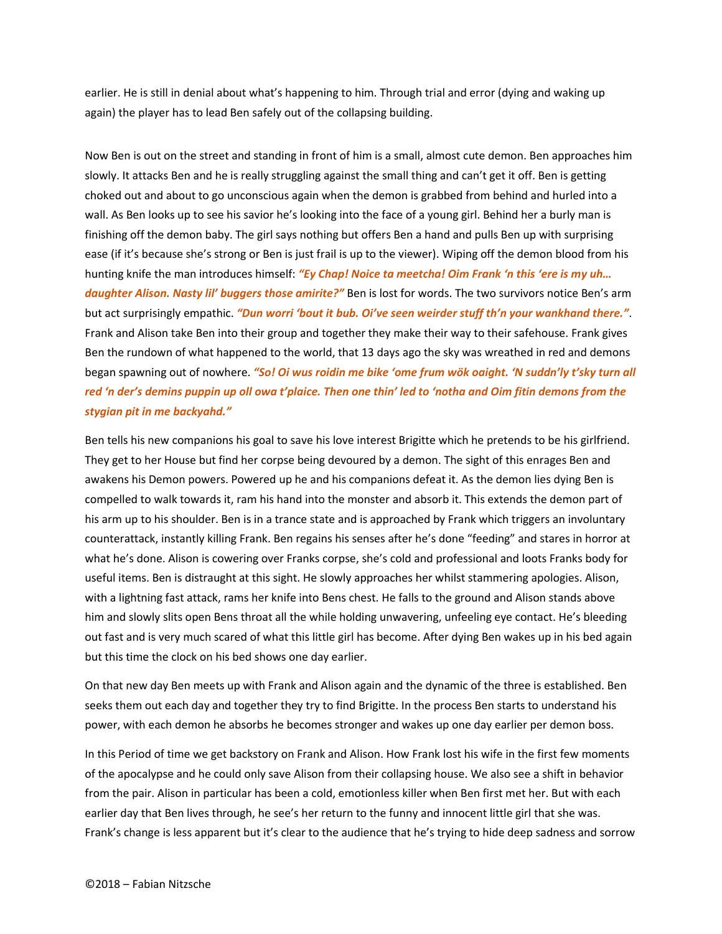earlier. He is still in denial about what's happening to him. Through trial and error (dying and waking up again) the player has to lead Ben safely out of the collapsing building.

Now Ben is out on the street and standing in front of him is a small, almost cute demon. Ben approaches him slowly. It attacks Ben and he is really struggling against the small thing and can't get it off. Ben is getting choked out and about to go unconscious again when the demon is grabbed from behind and hurled into a wall. As Ben looks up to see his savior he's looking into the face of a young girl. Behind her a burly man is finishing off the demon baby. The girl says nothing but offers Ben a hand and pulls Ben up with surprising ease (if it's because she's strong or Ben is just frail is up to the viewer). Wiping off the demon blood from his hunting knife the man introduces himself: *"Ey Chap! Noice ta meetcha! Oim Frank 'n this 'ere is my uh… daughter Alison. Nasty lil' buggers those amirite?"* Ben is lost for words. The two survivors notice Ben's arm but act surprisingly empathic. *"Dun worri 'bout it bub. Oi've seen weirder stuff th'n your wankhand there."*. Frank and Alison take Ben into their group and together they make their way to their safehouse. Frank gives Ben the rundown of what happened to the world, that 13 days ago the sky was wreathed in red and demons began spawning out of nowhere. *"So! Oi wus roidin me bike 'ome frum wök oaight. 'N suddn'ly t'sky turn all red 'n der's demins puppin up oll owa t'plaice. Then one thin' led to 'notha and Oim fitin demons from the stygian pit in me backyahd."*

Ben tells his new companions his goal to save his love interest Brigitte which he pretends to be his girlfriend. They get to her House but find her corpse being devoured by a demon. The sight of this enrages Ben and awakens his Demon powers. Powered up he and his companions defeat it. As the demon lies dying Ben is compelled to walk towards it, ram his hand into the monster and absorb it. This extends the demon part of his arm up to his shoulder. Ben is in a trance state and is approached by Frank which triggers an involuntary counterattack, instantly killing Frank. Ben regains his senses after he's done "feeding" and stares in horror at what he's done. Alison is cowering over Franks corpse, she's cold and professional and loots Franks body for useful items. Ben is distraught at this sight. He slowly approaches her whilst stammering apologies. Alison, with a lightning fast attack, rams her knife into Bens chest. He falls to the ground and Alison stands above him and slowly slits open Bens throat all the while holding unwavering, unfeeling eye contact. He's bleeding out fast and is very much scared of what this little girl has become. After dying Ben wakes up in his bed again but this time the clock on his bed shows one day earlier.

On that new day Ben meets up with Frank and Alison again and the dynamic of the three is established. Ben seeks them out each day and together they try to find Brigitte. In the process Ben starts to understand his power, with each demon he absorbs he becomes stronger and wakes up one day earlier per demon boss.

In this Period of time we get backstory on Frank and Alison. How Frank lost his wife in the first few moments of the apocalypse and he could only save Alison from their collapsing house. We also see a shift in behavior from the pair. Alison in particular has been a cold, emotionless killer when Ben first met her. But with each earlier day that Ben lives through, he see's her return to the funny and innocent little girl that she was. Frank's change is less apparent but it's clear to the audience that he's trying to hide deep sadness and sorrow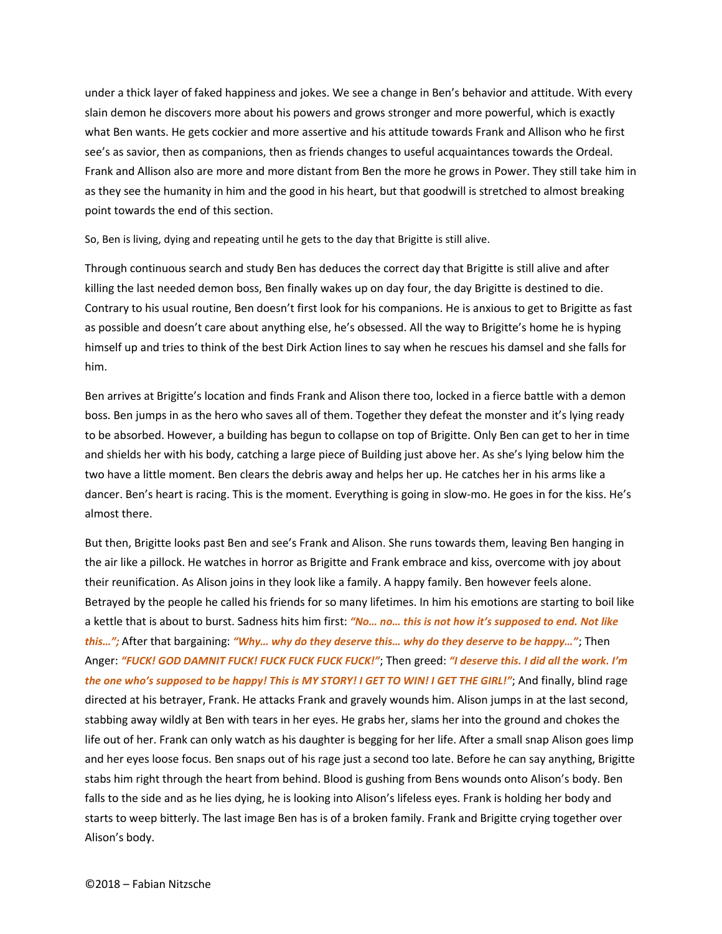under a thick layer of faked happiness and jokes. We see a change in Ben's behavior and attitude. With every slain demon he discovers more about his powers and grows stronger and more powerful, which is exactly what Ben wants. He gets cockier and more assertive and his attitude towards Frank and Allison who he first see's as savior, then as companions, then as friends changes to useful acquaintances towards the Ordeal. Frank and Allison also are more and more distant from Ben the more he grows in Power. They still take him in as they see the humanity in him and the good in his heart, but that goodwill is stretched to almost breaking point towards the end of this section.

So, Ben is living, dying and repeating until he gets to the day that Brigitte is still alive.

Through continuous search and study Ben has deduces the correct day that Brigitte is still alive and after killing the last needed demon boss, Ben finally wakes up on day four, the day Brigitte is destined to die. Contrary to his usual routine, Ben doesn't first look for his companions. He is anxious to get to Brigitte as fast as possible and doesn't care about anything else, he's obsessed. All the way to Brigitte's home he is hyping himself up and tries to think of the best Dirk Action lines to say when he rescues his damsel and she falls for him.

Ben arrives at Brigitte's location and finds Frank and Alison there too, locked in a fierce battle with a demon boss. Ben jumps in as the hero who saves all of them. Together they defeat the monster and it's lying ready to be absorbed. However, a building has begun to collapse on top of Brigitte. Only Ben can get to her in time and shields her with his body, catching a large piece of Building just above her. As she's lying below him the two have a little moment. Ben clears the debris away and helps her up. He catches her in his arms like a dancer. Ben's heart is racing. This is the moment. Everything is going in slow-mo. He goes in for the kiss. He's almost there.

But then, Brigitte looks past Ben and see's Frank and Alison. She runs towards them, leaving Ben hanging in the air like a pillock. He watches in horror as Brigitte and Frank embrace and kiss, overcome with joy about their reunification. As Alison joins in they look like a family. A happy family. Ben however feels alone. Betrayed by the people he called his friends for so many lifetimes. In him his emotions are starting to boil like a kettle that is about to burst. Sadness hits him first: *"No… no… this is not how it's supposed to end. Not like this…";* After that bargaining: *"Why… why do they deserve this… why do they deserve to be happy…"*; Then Anger: *"FUCK! GOD DAMNIT FUCK! FUCK FUCK FUCK FUCK!"*; Then greed: *"I deserve this. I did all the work. I'm the one who's supposed to be happy! This is MY STORY! I GET TO WIN! I GET THE GIRL!"*; And finally, blind rage directed at his betrayer, Frank. He attacks Frank and gravely wounds him. Alison jumps in at the last second, stabbing away wildly at Ben with tears in her eyes. He grabs her, slams her into the ground and chokes the life out of her. Frank can only watch as his daughter is begging for her life. After a small snap Alison goes limp and her eyes loose focus. Ben snaps out of his rage just a second too late. Before he can say anything, Brigitte stabs him right through the heart from behind. Blood is gushing from Bens wounds onto Alison's body. Ben falls to the side and as he lies dying, he is looking into Alison's lifeless eyes. Frank is holding her body and starts to weep bitterly. The last image Ben has is of a broken family. Frank and Brigitte crying together over Alison's body.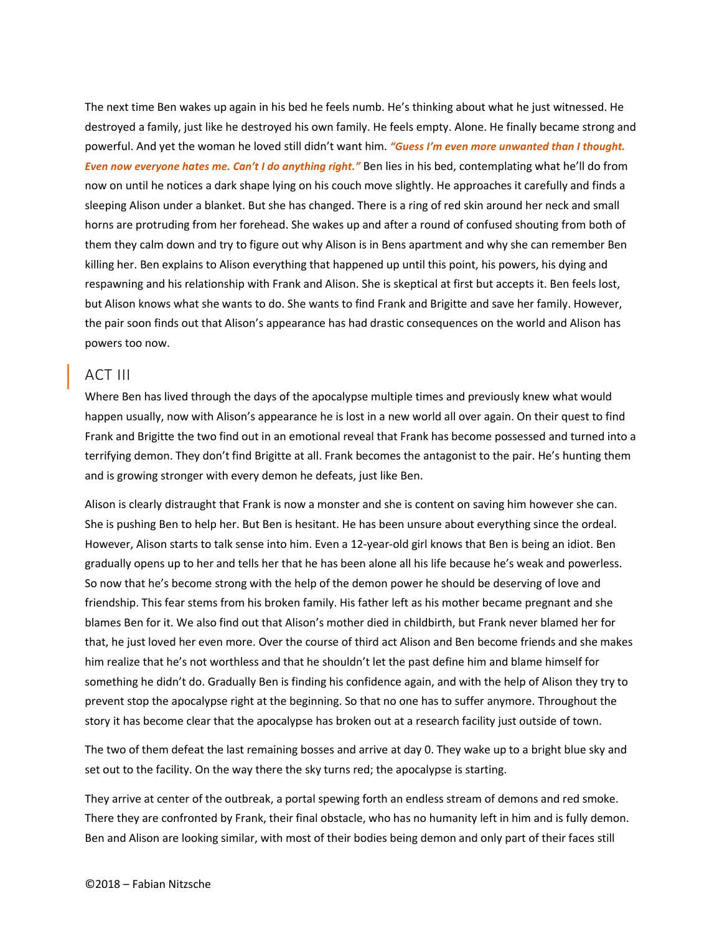The next time Ben wakes up again in his bed he feels numb. He's thinking about what he just witnessed. He destroyed a family, just like he destroyed his own family. He feels empty. Alone. He finally became strong and powerful. And yet the woman he loved still didn't want him. *"Guess I'm even more unwanted than I thought. Even now everyone hates me. Can't I do anything right."* Ben lies in his bed, contemplating what he'll do from now on until he notices a dark shape lying on his couch move slightly. He approaches it carefully and finds a sleeping Alison under a blanket. But she has changed. There is a ring of red skin around her neck and small horns are protruding from her forehead. She wakes up and after a round of confused shouting from both of them they calm down and try to figure out why Alison is in Bens apartment and why she can remember Ben killing her. Ben explains to Alison everything that happened up until this point, his powers, his dying and respawning and his relationship with Frank and Alison. She is skeptical at first but accepts it. Ben feels lost, but Alison knows what she wants to do. She wants to find Frank and Brigitte and save her family. However, the pair soon finds out that Alison's appearance has had drastic consequences on the world and Alison has powers too now.

#### ACT III

Where Ben has lived through the days of the apocalypse multiple times and previously knew what would happen usually, now with Alison's appearance he is lost in a new world all over again. On their quest to find Frank and Brigitte the two find out in an emotional reveal that Frank has become possessed and turned into a terrifying demon. They don't find Brigitte at all. Frank becomes the antagonist to the pair. He's hunting them and is growing stronger with every demon he defeats, just like Ben.

Alison is clearly distraught that Frank is now a monster and she is content on saving him however she can. She is pushing Ben to help her. But Ben is hesitant. He has been unsure about everything since the ordeal. However, Alison starts to talk sense into him. Even a 12-year-old girl knows that Ben is being an idiot. Ben gradually opens up to her and tells her that he has been alone all his life because he's weak and powerless. So now that he's become strong with the help of the demon power he should be deserving of love and friendship. This fear stems from his broken family. His father left as his mother became pregnant and she blames Ben for it. We also find out that Alison's mother died in childbirth, but Frank never blamed her for that, he just loved her even more. Over the course of third act Alison and Ben become friends and she makes him realize that he's not worthless and that he shouldn't let the past define him and blame himself for something he didn't do. Gradually Ben is finding his confidence again, and with the help of Alison they try to prevent stop the apocalypse right at the beginning. So that no one has to suffer anymore. Throughout the story it has become clear that the apocalypse has broken out at a research facility just outside of town.

The two of them defeat the last remaining bosses and arrive at day 0. They wake up to a bright blue sky and set out to the facility. On the way there the sky turns red; the apocalypse is starting.

They arrive at center of the outbreak, a portal spewing forth an endless stream of demons and red smoke. There they are confronted by Frank, their final obstacle, who has no humanity left in him and is fully demon. Ben and Alison are looking similar, with most of their bodies being demon and only part of their faces still